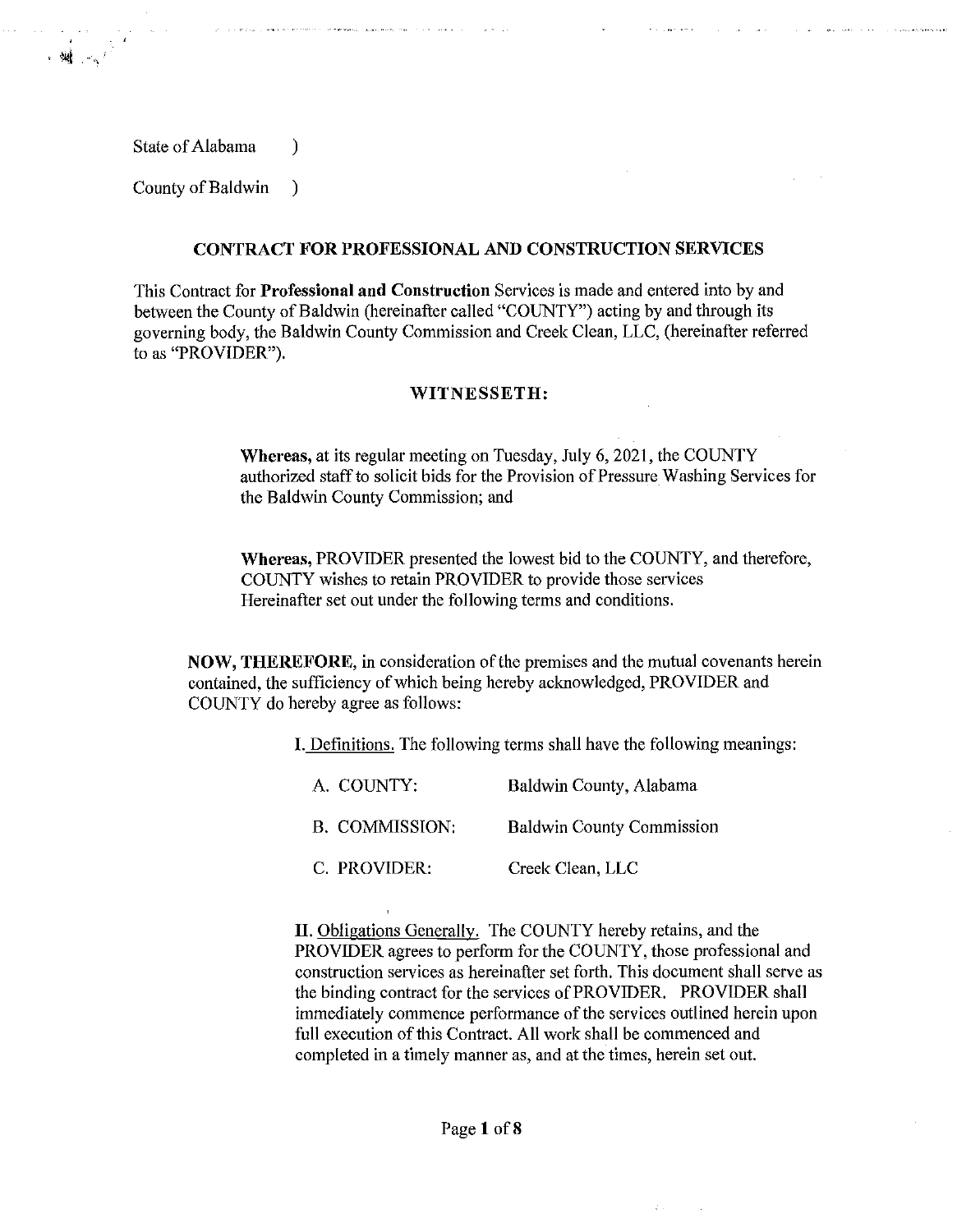State of Alabama (1)

→ 湖 → 1

County of Baldwin )

## **CONTRACT FOR PROFESSIONAL AND CONSTRUCTION SERVICES**

This Contract for **Professional and Construction** Services is made and entered into by and between the County of Baldwin (hereinafter called "COUNTY") acting by and through its governing body, the Baldwin County Commission and Creek Clean, LLC, (hereinafter referred to as "PROVIDER").

## **WITNESSETH:**

**Whereas,** at its regular meeting on Tuesday, July 6, 2021, the COUNTY authorized staff to solicit bids for the Provision of Pressure Washing Services for the Baldwin County Commission; and

**Whereas,** PROVIDER presented the lowest bid to the COUNTY, and therefore, COUNTY wishes to retain PROVIDER to provide those services Hereinafter set out under the following terms and conditions.

**NOW, THEREFORE,** in consideration of the premises and the mutual covenants herein contained, the sufficiency of which being hereby acknowledged, PROVIDER and COUNTY do hereby agree as follows:

**I.** Definitions. The following terms shall have the following meanings:

| A. COUNTY:     | Baldwin County, Alabama          |  |
|----------------|----------------------------------|--|
| B. COMMISSION: | <b>Baldwin County Commission</b> |  |
| C. PROVIDER:   | Creek Clean, LLC                 |  |

**II.** Obligations Generally. The COUNTY hereby retains, and the PROVIDER agrees to perform for the COUNTY, those professional and construction services as hereinafter set forth. This document shall serve as the binding contract for the services of PROVIDER. PROVIDER shall immediately commence performance of the services outlined herein upon full execution of this Contract. All work shall be commenced and completed in a timely manner as, and at the times, herein set out.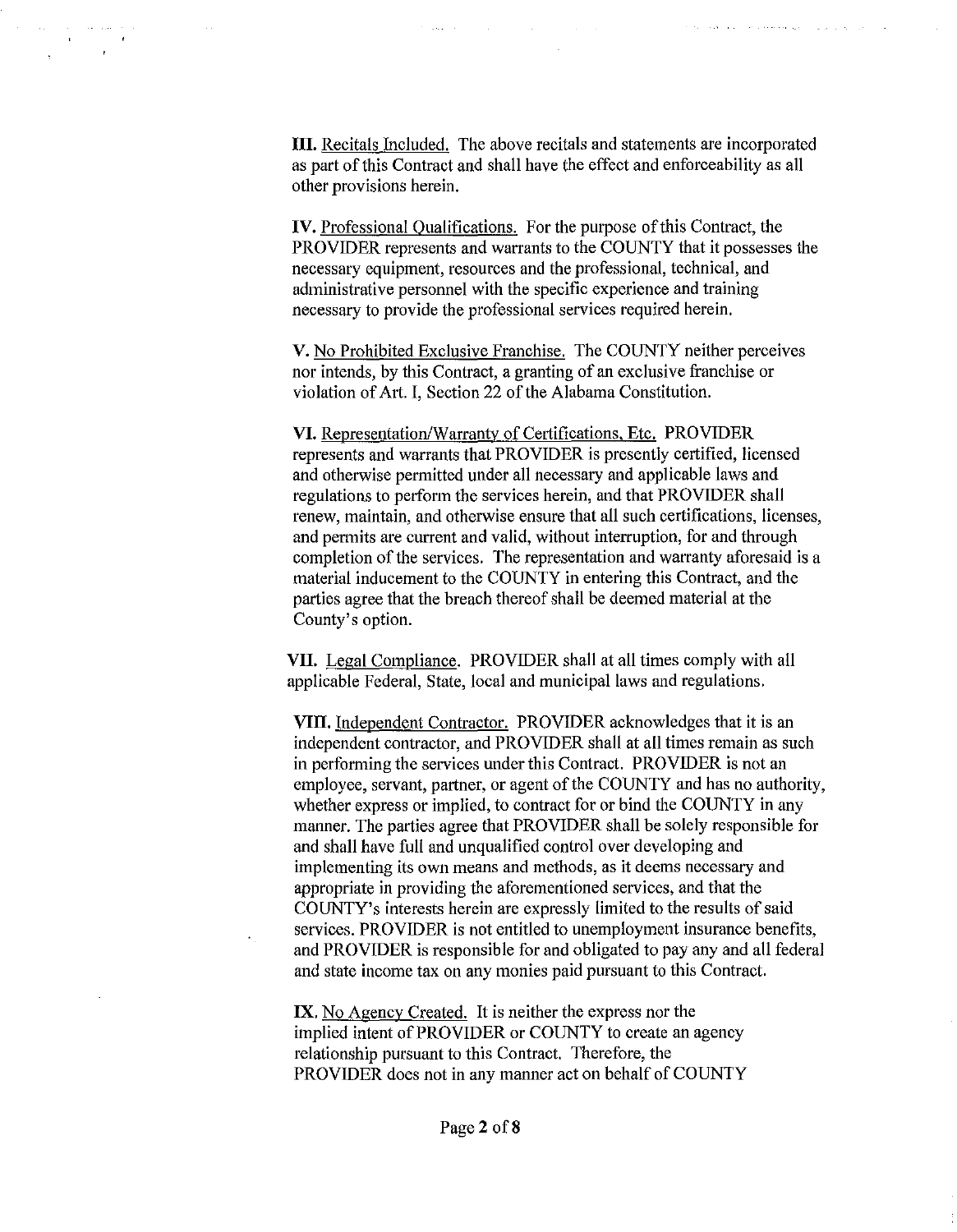**III.** Recitals Included. The above recitals and statements are incorporated as part of this Contract and shall have the effect and enforceability as all other provisions herein.

 $\sim 10^{-1}$ 

**IV.** Professional Oualifications. For the purpose of this Contract, the PROVIDER represents and warrants to the COUNTY that it possesses the necessary equipment, resources and the professional, technical, and administrative personnel with the specific experience and training necessary to provide the professional services required herein.

V. No Prohibited Exclusive Franchise. The COUNTY neither perceives nor intends, by this Contract, a granting of an exclusive franchise or violation of Art. I, Section 22 of the Alabama Constitution.

**VI.** Representation/Warranty of Certifications, Etc. PROVIDER represents and warrants that PROVIDER is presently certified, licensed and otherwise permitted under all necessary and applicable laws and regulations to perform the services herein, and that PROVIDER shall renew, maintain, and otherwise ensure that all such certifications, licenses, and permits are current and valid, without interruption, for and through completion of the services. The representation and warranty aforesaid is a material inducement to the COUNTY in entering this Contract, and the parties agree that the breach thereof shall be deemed material at the County's option.

**VII.** Legal Compliance. PROVIDER shall at all times comply with all applicable Federal, State, local and municipal laws and regulations.

**VIII.** Independent Contractor. PROVIDER acknowledges that it is an independent contractor, and PROVIDER shall at all times remain as such in performing the services under this Contract. PROVIDER is not an employee, servant, partner, or agent of the COUNTY and has no authority, whether express or implied, to contract for or bind the COUNTY in any manner. The parties agree that PROVIDER shall be solely responsible for and shall have full and unqualified control over developing and implementing its own means and methods, as it deems necessary and appropriate in providing the aforementioned services, and that the COUNTY's interests herein are expressly limited to the results of said services. PROVIDER is not entitled to unemployment insurance benefits, and PROVIDER is responsible for and obligated to pay any and all federal and state income tax on any monies paid pursuant to this Contract.

**IX.** No Agency Created. It is neither the express nor the implied intent of PROVIDER or COUNTY to create an agency relationship pursuant to this Contract. Therefore, the PROVIDER does not in any manner act on behalf of COUNTY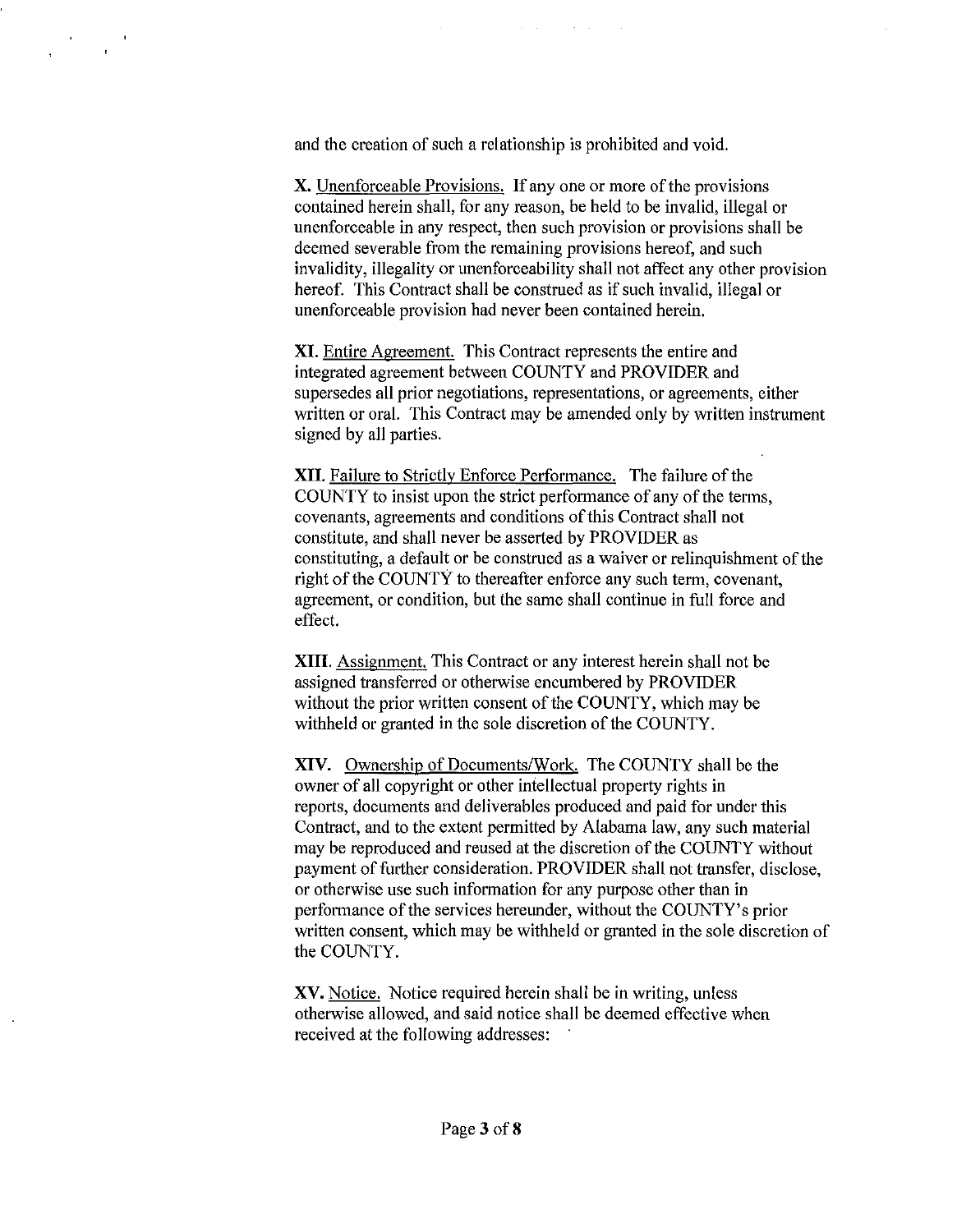and the creation of such a relationship is prohibited and void.

**X.** Unenforceable Provisions. If any one or more of the provisions contained herein shall, for any reason, be held to be invalid, illegal or unenforceable in any respect, then such provision or provisions shall be deemed severable from the remaining provisions hereof, and such invalidity, illegality or unenforceability shall not affect any other provision hereof. This Contract shall be construed as if such invalid, illegal or unenforceable provision had never been contained herein.

 $\sim 10^{11}$  km s  $^{-1}$ 

**XI.** Entire Agreement. This Contract represents the entire and integrated agreement between COUNTY and PROVIDER and supersedes all prior negotiations, representations, or agreements, either written or oral. This Contract may be amended only by written instrument signed by all parties.

**XII.** Failure to Strictly Enforce Performance. The failure of the COUNTY to insist upon the strict performance of any of the terms, covenants, agreements and conditions of this Contract shall not constitute, and shall never be asserted by PROVIDER as constituting, a default or be construed as a waiver or relinquishment of the right of the COUNTY to thereafter enforce any such term, covenant, agreement, or condition, but the same shall continue in full force and effect.

**XIII.** Assignment. This Contract or any interest herein shall not be assigned transferred or otherwise encumbered by PROVIDER without the prior written consent of the COUNTY, which may be withheld or granted in the sole discretion of the COUNTY.

**XIV.** Ownership of Documents/Work. The COUNTY shall be the owner of all copyright or other intellectual property rights in reports, documents and deliverables produced and paid for under this Contract, and to the extent permitted by Alabama law, any such material may be reproduced and reused at the discretion of the COUNTY without payment of further consideration. PROVIDER shall not transfer, disclose, or otherwise use such information for any purpose other than in performance of the services hereunder, without the COUNTY's prior written consent, which may be withheld or granted in the sole discretion of the COUNTY.

**XV.** Notice. Notice required herein shall be in writing, unless otherwise allowed, and said notice shall be deemed effective when received at the following addresses: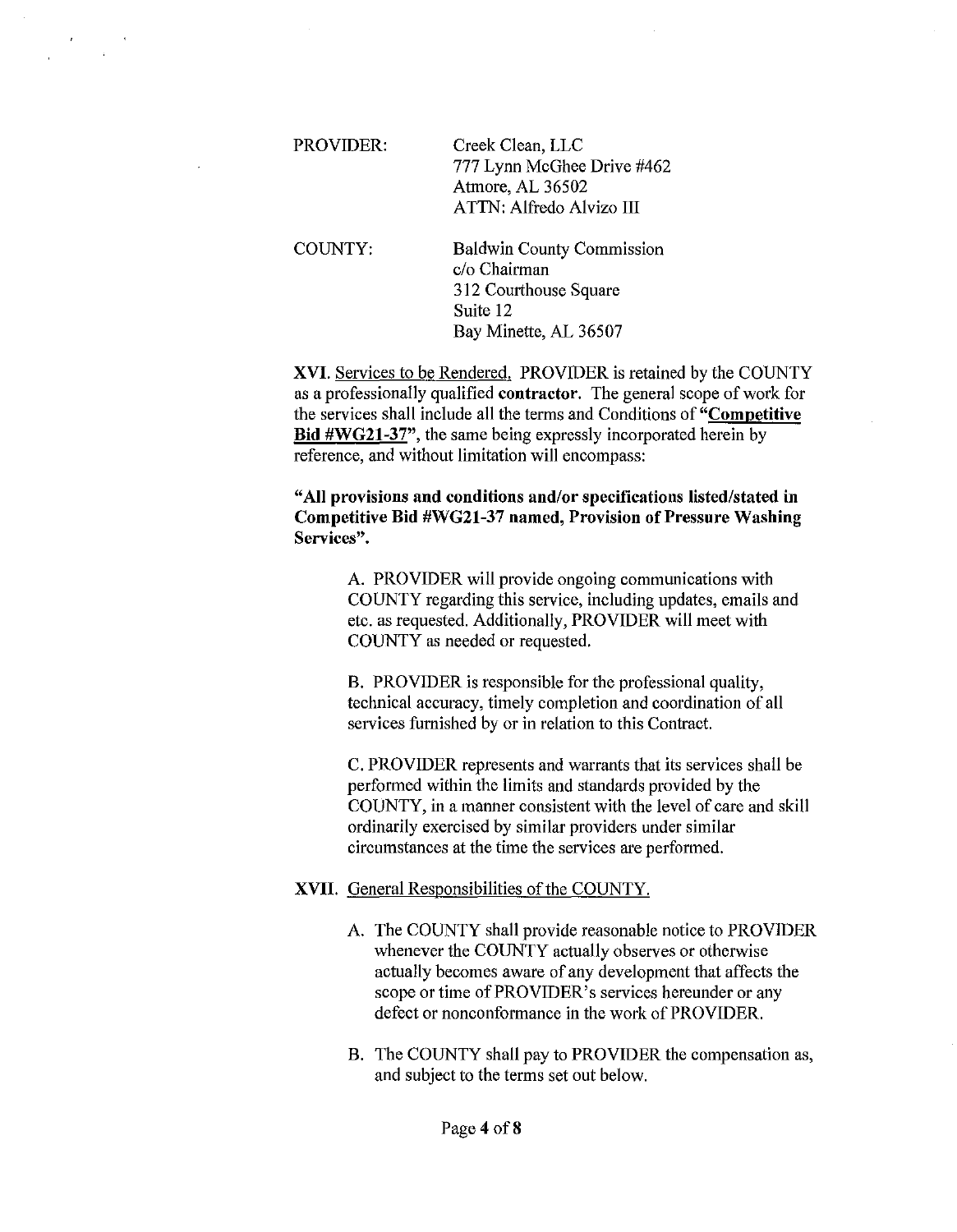| PROVIDER: | Creek Clean, LLC<br>777 Lynn McGhee Drive #462<br>Atmore, AL 36502<br>ATTN: Alfredo Alvizo III |
|-----------|------------------------------------------------------------------------------------------------|
|           |                                                                                                |

COUNTY: Baldwin County Commission c/o Chairman 312 Courthouse Square Suite 12 Bay Minette, AL 36507

XVI. Services to be Rendered. PROVIDER is retained by the COUNTY as a professionally qualified contractor. The general scope of work for the services shall include all the terms and Conditions of "Competitive Bid #WG21-37", the same being expressly incorporated herein by reference, and without limitation will encompass:

## "All provisions and conditions and/or specifications listed/stated in Competitive Bid #WG21-37 named, Provision of Pressure Washing Services".

A. PROVIDER will provide ongoing communications with COUNTY regarding this service, including updates, emails and etc. as requested. Additionally, PROVIDER will meet with COUNTY as needed or requested.

B. PROVIDER is responsible for the professional quality, technical accuracy, timely completion and coordination of all services furnished by or in relation to this Contract.

C. PROVIDER represents and warrants that its services shall be performed within the limits and standards provided by the COUNTY, in a manner consistent with the level of care and skill ordinarily exercised by similar providers under similar circumstances at the time the services are performed.

## XVII. General Responsibilities of the COUNTY.

- A. The COUNTY shall provide reasonable notice to PROVIDER whenever the COUNTY actually observes or otherwise actually becomes aware of any development that affects the scope or time of PROVIDER's services hereunder or any defect or nonconformance in the work of PROVIDER.
- B. The COUNTY shall pay to PROVIDER the compensation as, and subject to the terms set out below.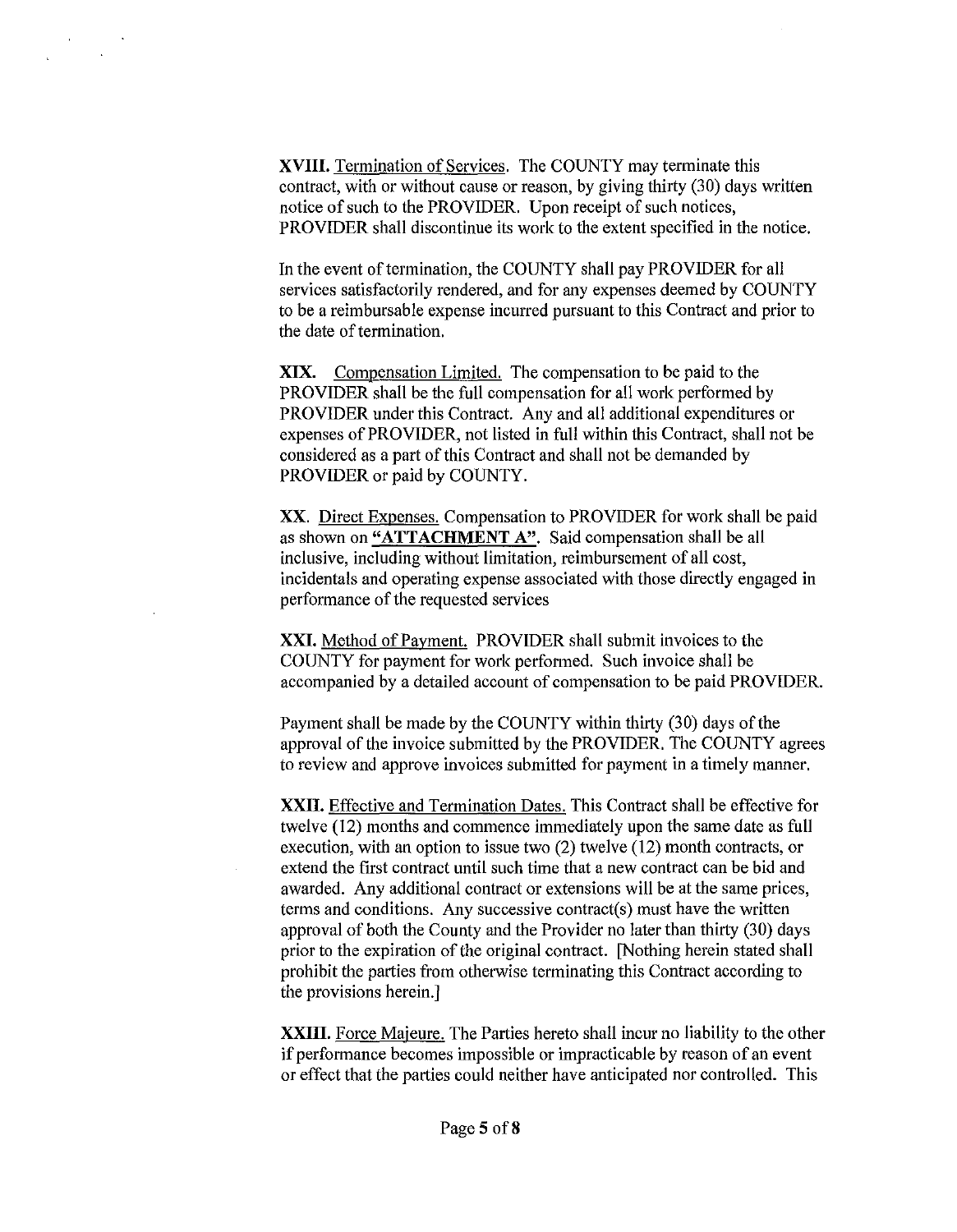**XVIII.** Termination of Services. The COUNTY may terminate this contract, with or without cause or reason, by giving thirty (30) days written notice of such to the PROVIDER. Upon receipt of such notices, PROVIDER shall discontinue its work to the extent specified in the notice.

In the event of termination, the COUNTY shall pay PROVIDER for all services satisfactorily rendered, and for any expenses deemed by COUNTY to be a reimbursable expense incurred pursuant to this Contract and prior to the date of termination.

**XIX.** Compensation Limited. The compensation to be paid to the PROVIDER shall be the full compensation for all work performed by PROVIDER under this Contract. Any and all additional expenditures or expenses of PROVIDER, not listed in full within this Contract, shall not be considered as a part of this Contract and shall not be demanded by PROVIDER or paid by COUNTY.

XX. Direct Expenses. Compensation to PROVIDER for work shall be paid as shown on **"ATTACHMENT** A". Said compensation shall be all inclusive, including without limitation, reimbursement of all cost, incidentals and operating expense associated with those directly engaged in performance of the requested services

**XXI.** Method of Payment. PROVIDER shall submit invoices to the COUNTY for payment for work perfonned. Such invoice shall be accompanied by a detailed account of compensation to be paid PROVIDER.

Payment shall be made by the COUNTY within thirty (30) days of the approval of the invoice submitted by the PROVIDER. The COUNTY agrees to review and approve invoices submitted for payment in a timely manner.

**XXII.** Effective and Termination Dates. This Contract shall be effective for twelve (12) months and commence immediately upon the same date as full execution, with an option to issue two (2) twelve (12) month contracts, or extend the first contract until such time that a new contract can be bid and awarded. Any additional contract or extensions will be at the same prices, terms and conditions. Any successive contract(s) must have the written approval of both the County and the Provider no later than thirty (30) days prior to the expiration of the original contract. [Nothing herein stated shall prohibit the parties from otherwise terminating this Contract according to the provisions herein.]

**XXIII.** Force Majeure. The Parties hereto shall incur no liability to the other if performance becomes impossible or impracticable by reason of an event or effect that the parties could neither have anticipated nor controlled. This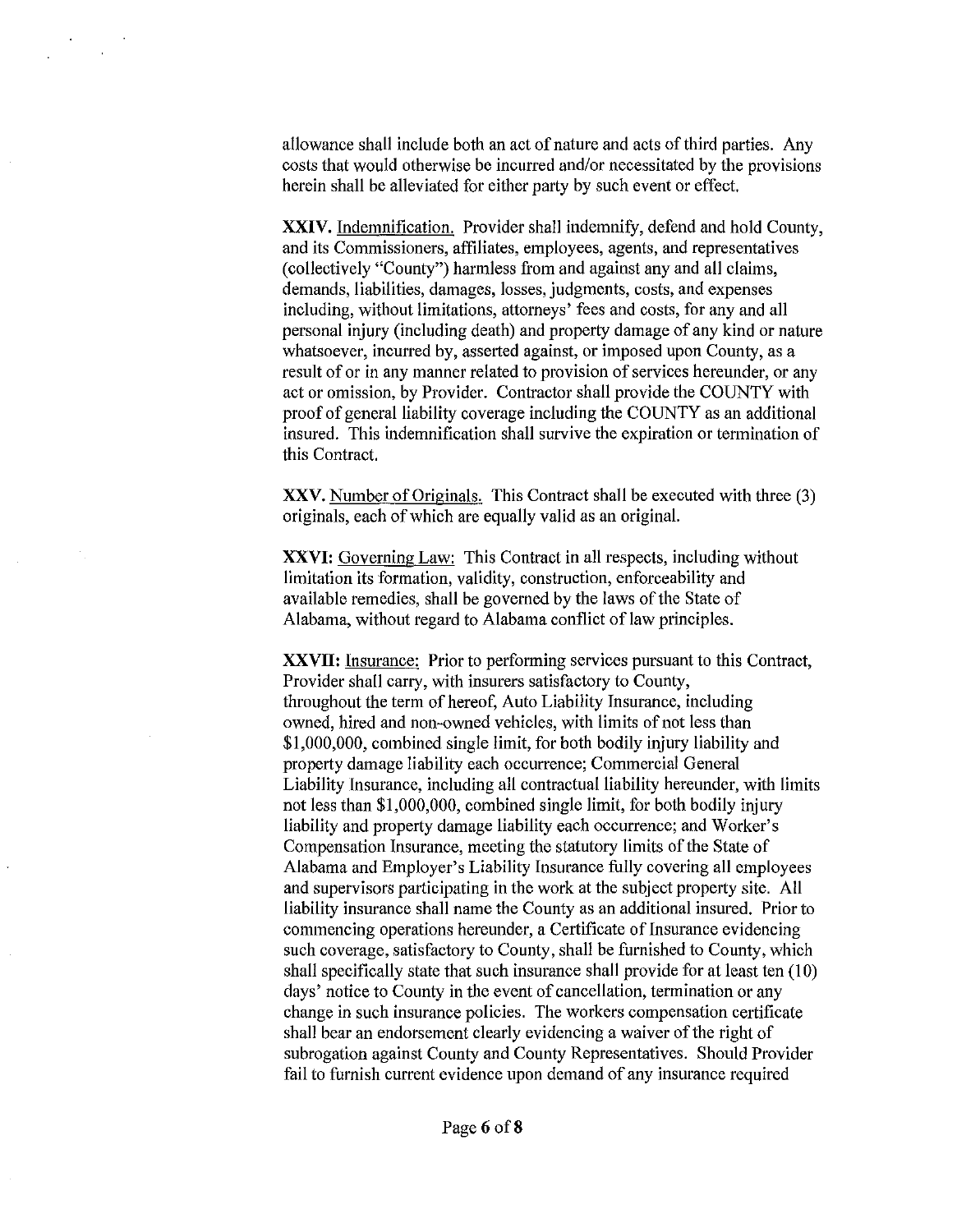allowance shall include both an act of nature and acts of third parties. Any costs that would otherwise be incurred and/or necessitated by the provisions herein shall be alleviated for either party by such event or effect.

**XXIV.** Indemnification. Provider shall indemnify, defend and hold County, and its Commissioners, affiliates, employees, agents, and representatives (collectively "County") harmless from and against any and all claims, demands, liabilities, damages, losses, judgments, costs, and expenses including, without limitations, attorneys' fees and costs, for any and all personal injury (including death) and property damage of any kind or nature whatsoever, incurred by, asserted against, or imposed upon County, as a result of or in any manner related to provision of services hereunder, or any act or omission, by Provider. Contractor shall provide the COUNTY with proof of general liability coverage including the COUNTY as an additional insured. This indemnification shall survive the expiration or termination of this Contract.

**XXV.** Number of Originals. This Contract shall be executed with three (3) originals, each of which are equally valid as an original.

**XXVI:** Governing Law: This Contract in all respects, including without limitation its formation, validity, construction, enforceability and available remedies, shall be governed by the laws of the State of Alabama, without regard to Alabama conflict of law principles.

**XXVII:** Insurance: Prior to performing services pursuant to this Contract, Provider shall carry, with insurers satisfactory to County, throughout the term of hereof, Auto Liability Insurance, including owned, hired and non-owned vehicles, with limits of not less than \$1,000,000, combined single limit, for both bodily injury liability and property damage liability each occurrence; Commercial General Liability Insurance, including all contractual liability hereunder, with limits not less than \$1,000,000, combined single limit, for both bodily injury liability and property damage liability each occurrence; and Worker's Compensation Insurance, meeting the statutory limits of the State of Alabama and Employer's Liability Insurance fully covering all employees and supervisors participating in the work at the subject property site. All liability insurance shall name the County as an additional insured. Prior to commencing operations hereunder, a Certificate of Insurance evidencing such coverage, satisfactory to County, shall be furnished to County, which shall specifically state that such insurance shall provide for at least ten (10) days' notice to County in the event of cancellation, termination or any change in such insurance policies. The workers compensation certificate shall bear an endorsement clearly evidencing a waiver of the right of subrogation against County and County Representatives. Should Provider fail to furnish current evidence upon demand of any insurance required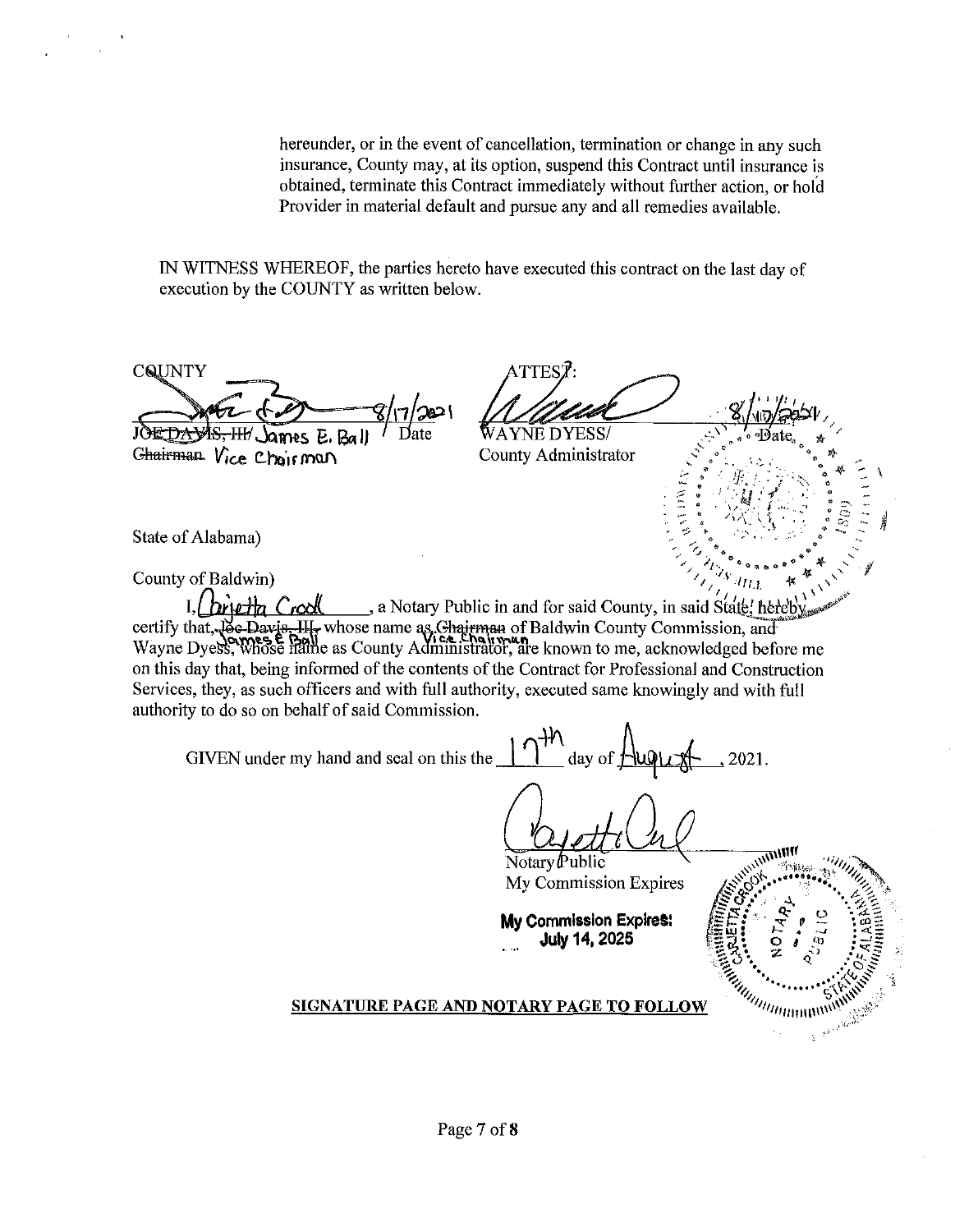hereunder, or in the event of cancellation, termination or change in any such insurance, County may, at its option, suspend this Contract until insurance is obtained, terminate this Contract immediately without further action, or hold Provider in material default and pursue any and all remedies available.

IN WITNESS WHEREOF, the parties hereto have executed this contract on the last day of execution by the COUNTY as written below.

ATTEST:<br>WAYNE DYESS/<br>County Administrator CQUNTY  $-\frac{8}{12}$ <u>9 y wy er</u>ectry ~-~\ "'<l **{>"'Bate,,** \* / **JOE DAWS** James E. .::,':'- ..,"' .,I) \* \.. " " :.. ' 0 Chairman Vice Chairman County Administrator  $({\rm i}\,\, \frac{1}{2} \, \frac{1}{2} \, \frac{1}{2} \, \frac{1}{2} \, \frac{1}{2} \, \frac{1}{2} \, \frac{1}{2} \, \frac{1}{2} \, \frac{1}{2} \, \frac{1}{2} \, \frac{1}{2} \, \frac{1}{2} \, \frac{1}{2} \, \frac{1}{2} \, \frac{1}{2} \, \frac{1}{2} \, \frac{1}{2} \, \frac{1}{2} \, \frac{1}{2} \, \frac{1}{2} \, \frac{1}{2} \, \frac{1}{2} \, \frac{1}{2} \, \frac{1}{2$ State of Alabama) ,,. **.,J' '"0** (> "'.. **ll.** ' // **1,., "'"Dl>!l!** \_,. . ....\_'- f  $\mathcal{L}_{\text{HIL}}$  **\***  $\mathcal{L}_{\text{V}}$ CountyofBaldwin) *<sup>1</sup> , <sup>1</sup> · 1* **I, highly Crool.** , a Notary Public in and for said County, in said State! hereby certify that, Joe Davis, III, whose name as Chairman of Baldwin County Commission, and Wayne Dyess, Whose Hame as County Administrator, are known to me, acknowledged before me on this day that, being informed of the contents of the Contract for Professional and Construction Services, they, as such officers and with full authority, executed same knowingly and with full authority to do so on behalf of said Commission. GIVEN under my hand and seal on this the  $\frac{1}{1-t}$  day of  $\frac{1}{t}$   $\frac{1}{t}$  2021. Notary  $\mathbf P$ ublic My Commission Expires **My Commission Expire&:**  . .. **July 14, 2025 SIGNATURE PAGE AND NOTARY PAGE TO FOLLOW**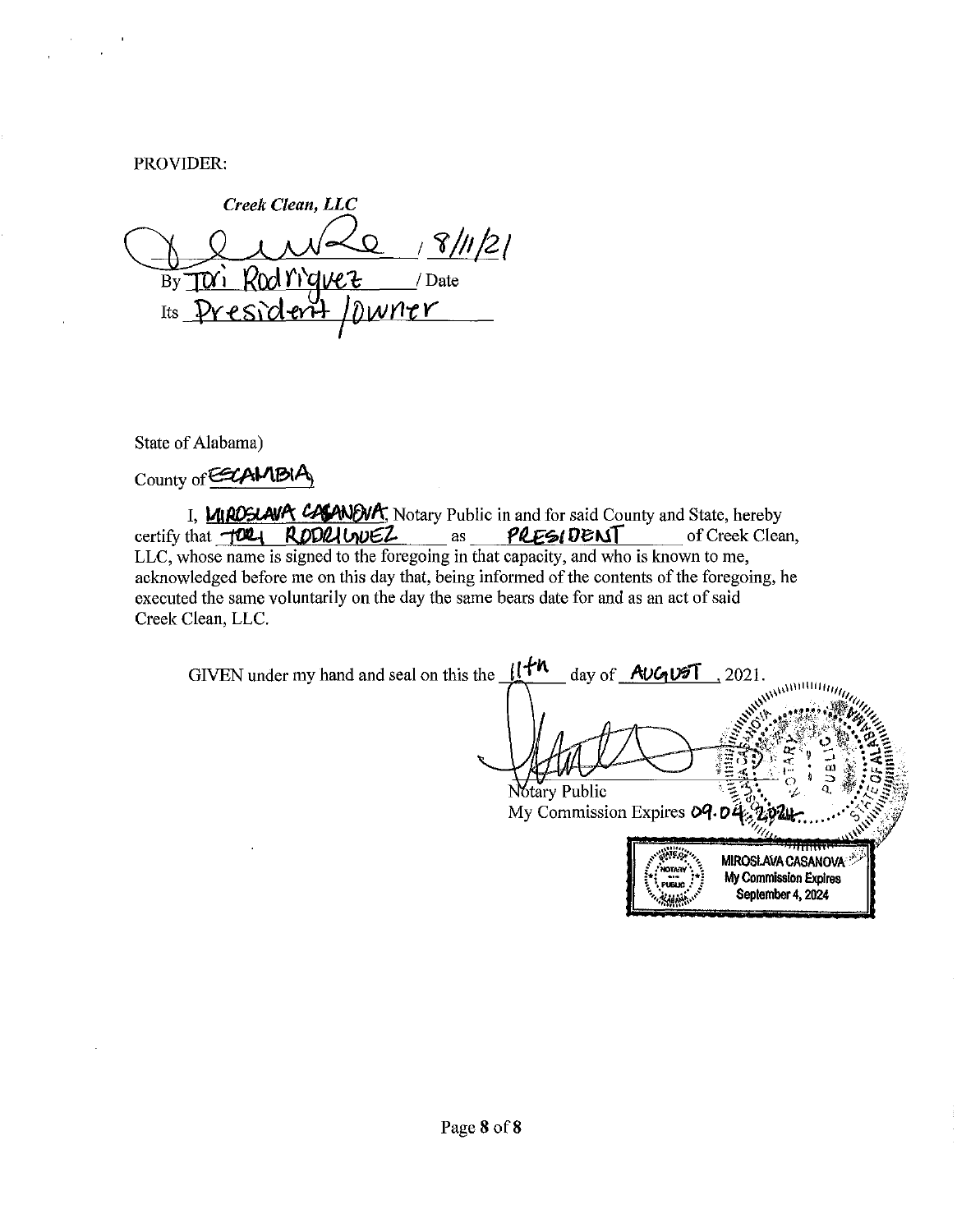PROVIDER:

Creek Clean, LLC 18/11/21 By Tori Rod riguez / Date Its President / Dwner

State of Alabama)

County of COLAMBIA

I. MIROSLAVA CASANEUM, Notary Public in and for said County and State, hereby certify that TORI RODRIUNEZ PRESIDENT of Creek Clean, as LLC, whose name is signed to the foregoing in that capacity, and who is known to me, acknowledged before me on this day that, being informed of the contents of the foregoing, he executed the same voluntarily on the day the same bears date for and as an act of said Creek Clean, LLC.

GIVEN under my hand and seal on this the  $\mathcal{H}^h$ day of AUGUST 2021. Nótary Public My Commission Expires  $09.0$ WC. **MIROSLAVA CASANOVA** My Commission Expires September 4, 2024